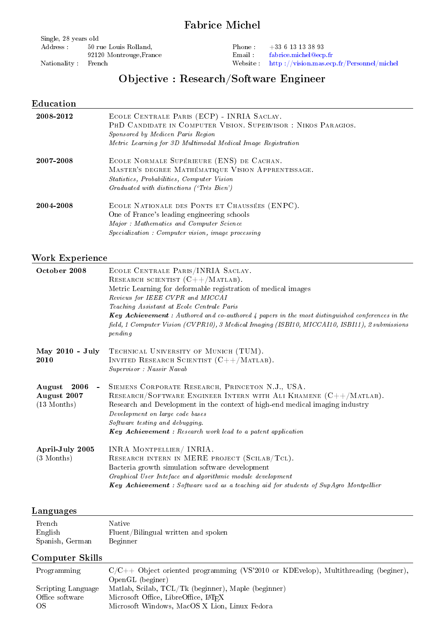## Fabrice Michel

| Single, 28 years old |                         |  |  |  |
|----------------------|-------------------------|--|--|--|
| Address :            | 50 rue Louis Rolland,   |  |  |  |
|                      | 92120 Montrouge, France |  |  |  |
| Nationality          | Fronch                  |  |  |  |

Nationality : French

Phone : +33 6 13 13 38 93 Email : [fabrice.michel@ecp.fr](mailto:fabrice.michel@ecp.fr) Website : [http ://vision.mas.ecp.fr/Personnel/michel](http://vision.mas.ecp.fr/Personnel/michel)

# Objective : Research/Software Engineer

## Education

| 2008-2012 | ECOLE CENTRALE PARIS (ECP) - INRIA SACLAY.<br>PHD CANDIDATE IN COMPUTER VISION. SUPERVISOR: NIKOS PARAGIOS.<br>Sponsored by Medicen Paris Region<br>Metric Learning for 3D Multimodal Medical Image Registration |
|-----------|------------------------------------------------------------------------------------------------------------------------------------------------------------------------------------------------------------------|
| 2007 2008 | ECOLE NORMALE SUPÉRIEURE (ENS) DE CACHAN.<br>MASTER'S DEGREE MATHÉMATIQUE VISION APPRENTISSAGE.<br><i>Statistics, Probabilities, Computer Vision</i><br>Graduated with distinctions ('Très Bien')                |
| 2004 2008 | ECOLE NATIONALE DES PONTS ET CHAUSSÉES (ENPC).<br>One of France's leading engineering schools<br>Major: Mathematics and Computer Science<br><i>Specialization : Computer vision, image processing</i>            |

## Work Experience

| October 2008                                                     | ECOLE CENTRALE PARIS/INRIA SACLAY.<br>RESEARCH SCIENTIST $(C++/MATLAB)$ .<br>Metric Learning for deformable registration of medical images<br>Reviews for IEEE CVPR and MICCAI<br>Teaching Assistant at Ecole Centrale Paris<br><b>Key Achievement</b> : Authored and co-authored 4 papers in the most distinguished conferences in the<br>field, 1 Computer Vision (CVPR10), 3 Medical Imaging (ISBI10, MICCAI10, ISBI11), 2 submissions<br>pending |
|------------------------------------------------------------------|------------------------------------------------------------------------------------------------------------------------------------------------------------------------------------------------------------------------------------------------------------------------------------------------------------------------------------------------------------------------------------------------------------------------------------------------------|
| May 2010 - July<br>2010                                          | TECHNICAL UNIVERSITY OF MUNICH (TUM).<br>INVITED RESEARCH SCIENTIST $(C++/MATLAB)$ .<br>Supervisor : Nassir Navab                                                                                                                                                                                                                                                                                                                                    |
| 2006<br>August<br>$\sim$<br>August 2007<br>$(13 \text{ Months})$ | SIEMENS CORPORATE RESEARCH, PRINCETON N.J., USA.<br>RESEARCH/SOFTWARE ENGINEER INTERN WITH ALI KHAMENE $(C++/MATLAB)$ .<br>Research and Development in the context of high-end medical imaging industry<br>Development on large code bases<br>Software testing and debugging.<br><b>Key Achievement</b> : Research work lead to a patent application                                                                                                 |
| April-July 2005<br>(3 Months)                                    | INRA MONTPELLIER/ INRIA.<br>RESEARCH INTERN IN MERE PROJECT (SCILAB/TCL).<br>Bacteria growth simulation software development<br>Graphical User Inteface and algorithmic module development<br><b>Key Achievement</b> : Software used as a teaching aid for students of Sup Agro Montpellier                                                                                                                                                          |

### Languages

| French          | Native                              |
|-----------------|-------------------------------------|
| English         | Fluent/Bilingual written and spoken |
| Spanish, German | Beginner                            |

## Computer Skills

| <u> chipavci chino</u> |                                                                                      |  |
|------------------------|--------------------------------------------------------------------------------------|--|
| Programming            | $C/C++$ Object oriented programming (VS'2010 or KDEvelop), Multithreading (beginer), |  |
|                        | OpenGL (beginer)                                                                     |  |
| Scripting Language     | Matlab, Scilab, $TCL/Tk$ (beginner), Maple (beginner)                                |  |
| Office software        | Microsoft Office, LibreOffice, LAT <sub>F</sub> X                                    |  |
| OS.                    | Microsoft Windows, MacOS X Lion, Linux Fedora                                        |  |